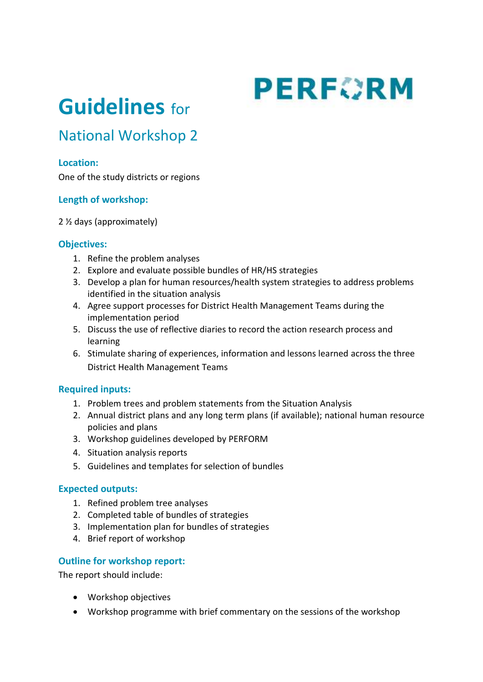# **PERFORM**

## **Guidelines** for

### National Workshop 2

#### **Location:**

One of the study districts or regions

#### **Length of workshop:**

2 ½ days (approximately)

#### **Objectives:**

- 1. Refine the problem analyses
- 2. Explore and evaluate possible bundles of HR/HS strategies
- 3. Develop a plan for human resources/health system strategies to address problems identified in the situation analysis
- 4. Agree support processes for District Health Management Teams during the implementation period
- 5. Discuss the use of reflective diaries to record the action research process and learning
- 6. Stimulate sharing of experiences, information and lessons learned across the three District Health Management Teams

#### **Required inputs:**

- 1. Problem trees and problem statements from the Situation Analysis
- 2. Annual district plans and any long term plans (if available); national human resource policies and plans
- 3. Workshop guidelines developed by PERFORM
- 4. Situation analysis reports
- 5. Guidelines and templates for selection of bundles

#### **Expected outputs:**

- 1. Refined problem tree analyses
- 2. Completed table of bundles of strategies
- 3. Implementation plan for bundles of strategies
- 4. Brief report of workshop

#### **Outline for workshop report:**

The report should include:

- Workshop objectives
- Workshop programme with brief commentary on the sessions of the workshop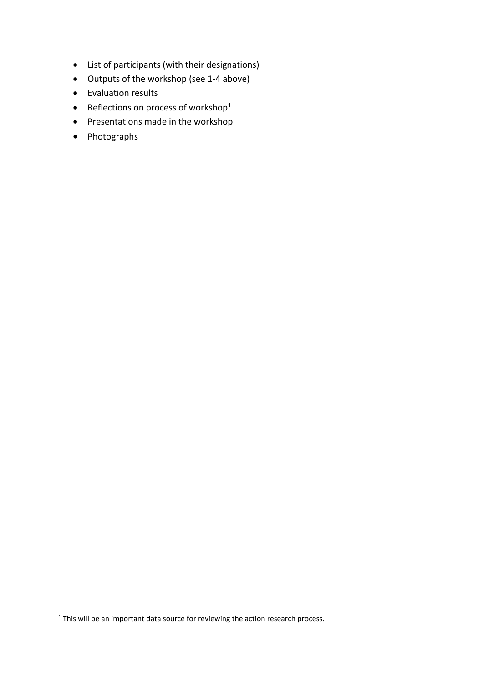- List of participants (with their designations)
- Outputs of the workshop (see 1-4 above)
- Evaluation results
- Reflections on process of workshop<sup>1</sup>
- Presentations made in the workshop
- Photographs

1

<sup>&</sup>lt;sup>1</sup> This will be an important data source for reviewing the action research process.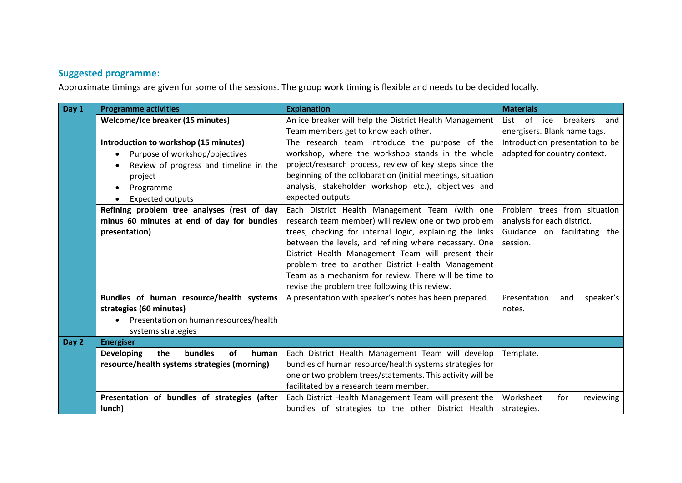#### **Suggested programme:**

Approximate timings are given for some of the sessions. The group work timing is flexible and needs to be decided locally.

| Day 1 | <b>Programme activities</b>                                      | <b>Explanation</b>                                          | <b>Materials</b>                     |
|-------|------------------------------------------------------------------|-------------------------------------------------------------|--------------------------------------|
|       | <b>Welcome/Ice breaker (15 minutes)</b>                          | An ice breaker will help the District Health Management     | List<br>0f<br>ice<br>breakers<br>and |
|       |                                                                  | Team members get to know each other.                        | energisers. Blank name tags.         |
|       | Introduction to workshop (15 minutes)                            | The research team introduce the purpose of the              | Introduction presentation to be      |
|       | Purpose of workshop/objectives                                   | workshop, where the workshop stands in the whole            | adapted for country context.         |
|       | Review of progress and timeline in the                           | project/research process, review of key steps since the     |                                      |
|       | project                                                          | beginning of the collobaration (initial meetings, situation |                                      |
|       | Programme                                                        | analysis, stakeholder workshop etc.), objectives and        |                                      |
|       | <b>Expected outputs</b>                                          | expected outputs.                                           |                                      |
|       | Refining problem tree analyses (rest of day                      | Each District Health Management Team (with one              | Problem trees from situation         |
|       | minus 60 minutes at end of day for bundles                       | research team member) will review one or two problem        | analysis for each district.          |
|       | presentation)                                                    | trees, checking for internal logic, explaining the links    | Guidance on facilitating the         |
|       |                                                                  | between the levels, and refining where necessary. One       | session.                             |
|       |                                                                  | District Health Management Team will present their          |                                      |
|       |                                                                  | problem tree to another District Health Management          |                                      |
|       |                                                                  | Team as a mechanism for review. There will be time to       |                                      |
|       |                                                                  | revise the problem tree following this review.              |                                      |
|       | Bundles of human resource/health systems                         | A presentation with speaker's notes has been prepared.      | speaker's<br>Presentation<br>and     |
|       | strategies (60 minutes)                                          |                                                             | notes.                               |
|       | Presentation on human resources/health                           |                                                             |                                      |
|       | systems strategies                                               |                                                             |                                      |
| Day 2 | <b>Energiser</b>                                                 |                                                             |                                      |
|       | <b>Developing</b><br>the<br><b>bundles</b><br><b>of</b><br>human | Each District Health Management Team will develop           | Template.                            |
|       | resource/health systems strategies (morning)                     | bundles of human resource/health systems strategies for     |                                      |
|       |                                                                  | one or two problem trees/statements. This activity will be  |                                      |
|       |                                                                  | facilitated by a research team member.                      |                                      |
|       | Presentation of bundles of strategies (after                     | Each District Health Management Team will present the       | Worksheet<br>for<br>reviewing        |
|       | lunch)                                                           | bundles of strategies to the other District Health          | strategies.                          |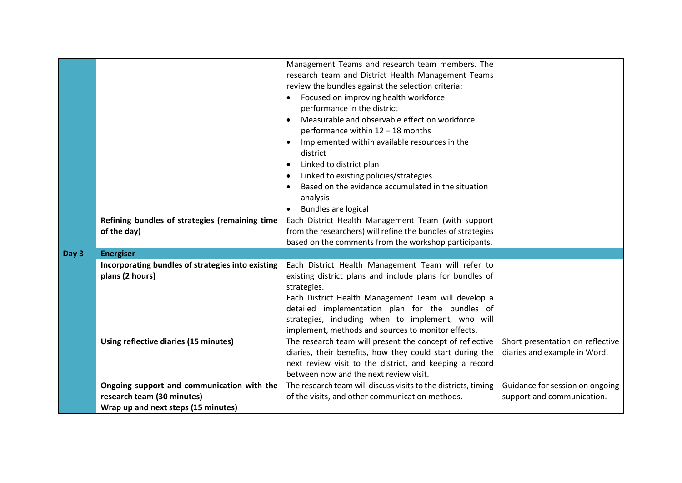|       | Refining bundles of strategies (remaining time<br>of the day)            | Management Teams and research team members. The<br>research team and District Health Management Teams<br>review the bundles against the selection criteria:<br>Focused on improving health workforce<br>performance in the district<br>Measurable and observable effect on workforce<br>$\bullet$<br>performance within 12 - 18 months<br>Implemented within available resources in the<br>district<br>Linked to district plan<br>$\bullet$<br>Linked to existing policies/strategies<br>$\bullet$<br>Based on the evidence accumulated in the situation<br>analysis<br>Bundles are logical<br>Each District Health Management Team (with support<br>from the researchers) will refine the bundles of strategies |                                                                  |
|-------|--------------------------------------------------------------------------|------------------------------------------------------------------------------------------------------------------------------------------------------------------------------------------------------------------------------------------------------------------------------------------------------------------------------------------------------------------------------------------------------------------------------------------------------------------------------------------------------------------------------------------------------------------------------------------------------------------------------------------------------------------------------------------------------------------|------------------------------------------------------------------|
|       |                                                                          | based on the comments from the workshop participants.                                                                                                                                                                                                                                                                                                                                                                                                                                                                                                                                                                                                                                                            |                                                                  |
| Day 3 | <b>Energiser</b>                                                         |                                                                                                                                                                                                                                                                                                                                                                                                                                                                                                                                                                                                                                                                                                                  |                                                                  |
|       | Incorporating bundles of strategies into existing<br>plans (2 hours)     | Each District Health Management Team will refer to<br>existing district plans and include plans for bundles of<br>strategies.<br>Each District Health Management Team will develop a<br>detailed implementation plan for the bundles of<br>strategies, including when to implement, who will<br>implement, methods and sources to monitor effects.                                                                                                                                                                                                                                                                                                                                                               |                                                                  |
|       | Using reflective diaries (15 minutes)                                    | The research team will present the concept of reflective<br>diaries, their benefits, how they could start during the<br>next review visit to the district, and keeping a record<br>between now and the next review visit.                                                                                                                                                                                                                                                                                                                                                                                                                                                                                        | Short presentation on reflective<br>diaries and example in Word. |
|       | Ongoing support and communication with the<br>research team (30 minutes) | The research team will discuss visits to the districts, timing<br>of the visits, and other communication methods.                                                                                                                                                                                                                                                                                                                                                                                                                                                                                                                                                                                                | Guidance for session on ongoing<br>support and communication.    |
|       | Wrap up and next steps (15 minutes)                                      |                                                                                                                                                                                                                                                                                                                                                                                                                                                                                                                                                                                                                                                                                                                  |                                                                  |